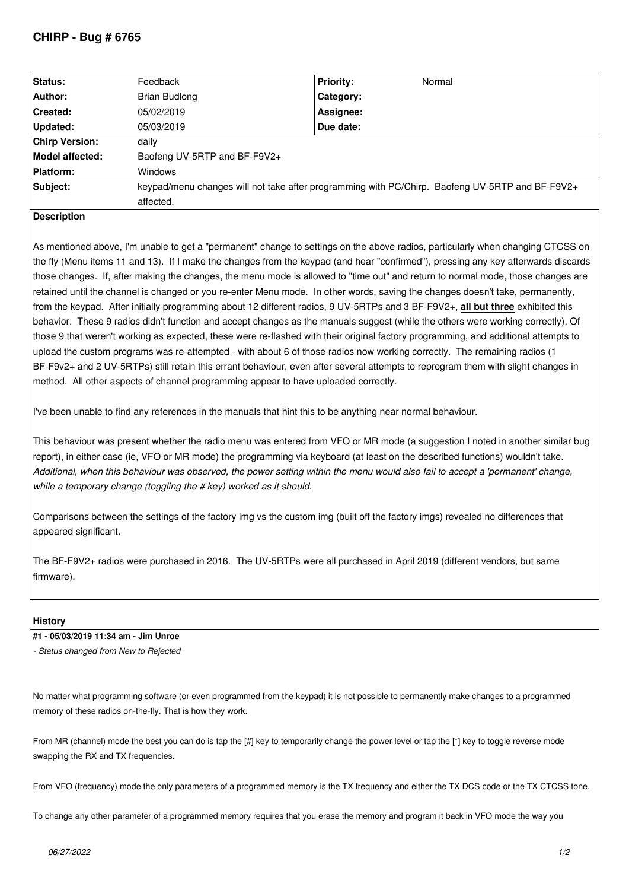# **CHIRP - Bug # 6765**

| Status:               | Feedback                                                                                        | <b>Priority:</b> | Normal |
|-----------------------|-------------------------------------------------------------------------------------------------|------------------|--------|
| Author:               | <b>Brian Budlong</b>                                                                            | Category:        |        |
| Created:              | 05/02/2019                                                                                      | Assignee:        |        |
| Updated:              | 05/03/2019                                                                                      | Due date:        |        |
| <b>Chirp Version:</b> | daily                                                                                           |                  |        |
| Model affected:       | Baofeng UV-5RTP and BF-F9V2+                                                                    |                  |        |
| Platform:             | <b>Windows</b>                                                                                  |                  |        |
| Subject:              | keypad/menu changes will not take after programming with PC/Chirp. Baofeng UV-5RTP and BF-F9V2+ |                  |        |
|                       | affected.                                                                                       |                  |        |

## **Description**

*As mentioned above, I'm unable to get a "permanent" change to settings on the above radios, particularly when changing CTCSS on the fly (Menu items 11 and 13). If I make the changes from the keypad (and hear "confirmed"), pressing any key afterwards discards those changes. If, after making the changes, the menu mode is allowed to "time out" and return to normal mode, those changes are retained until the channel is changed or you re-enter Menu mode. In other words, saving the changes doesn't take, permanently, from the keypad. After initially programming about 12 different radios, 9 UV-5RTPs and 3 BF-F9V2+,* **all but three** *exhibited this behavior. These 9 radios didn't function and accept changes as the manuals suggest (while the others were working correctly). Of those 9 that weren't working as expected, these were re-flashed with their original factory programming, and additional attempts to upload the custom programs was re-attempted - with about 6 of those radios now working correctly. The remaining radios (1 BF-F9v2+ and 2 UV-5RTPs) still retain this errant behaviour, even after several attempts to reprogram them with slight changes in method. All other aspects of channel programming appear to have uploaded correctly.*

*I've been unable to find any references in the manuals that hint this to be anything near normal behaviour.*

*This behaviour was present whether the radio menu was entered from VFO or MR mode (a suggestion I noted in another similar bug* report), in either case (ie, VFO or MR mode) the programming via keyboard (at least on the described functions) wouldn't take. *Additional, when this behaviour was observed, the power setting within the menu would also fail to accept a 'permanent' change, while a temporary change (toggling the # key) worked as it should.*

*Comparisons between the settings of the factory img vs the custom img (built off the factory imgs) revealed no differences that appeared significant.*

*The BF-F9V2+ radios were purchased in 2016. The UV-5RTPs were all purchased in April 2019 (different vendors, but same firmware).*

### **History**

### **#1 - 05/03/2019 11:34 am - Jim Unroe**

*- Status changed from New to Rejected*

*No matter what programming software (or even programmed from the keypad) it is not possible to permanently make changes to a programmed memory of these radios on-the-fly. That is how they work.*

*From MR (channel) mode the best you can do is tap the [#] key to temporarily change the power level or tap the [\*] key to toggle reverse mode swapping the RX and TX frequencies.*

*From VFO (frequency) mode the only parameters of a programmed memory is the TX frequency and either the TX DCS code or the TX CTCSS tone.*

*To change any other parameter of a programmed memory requires that you erase the memory and program it back in VFO mode the way you*